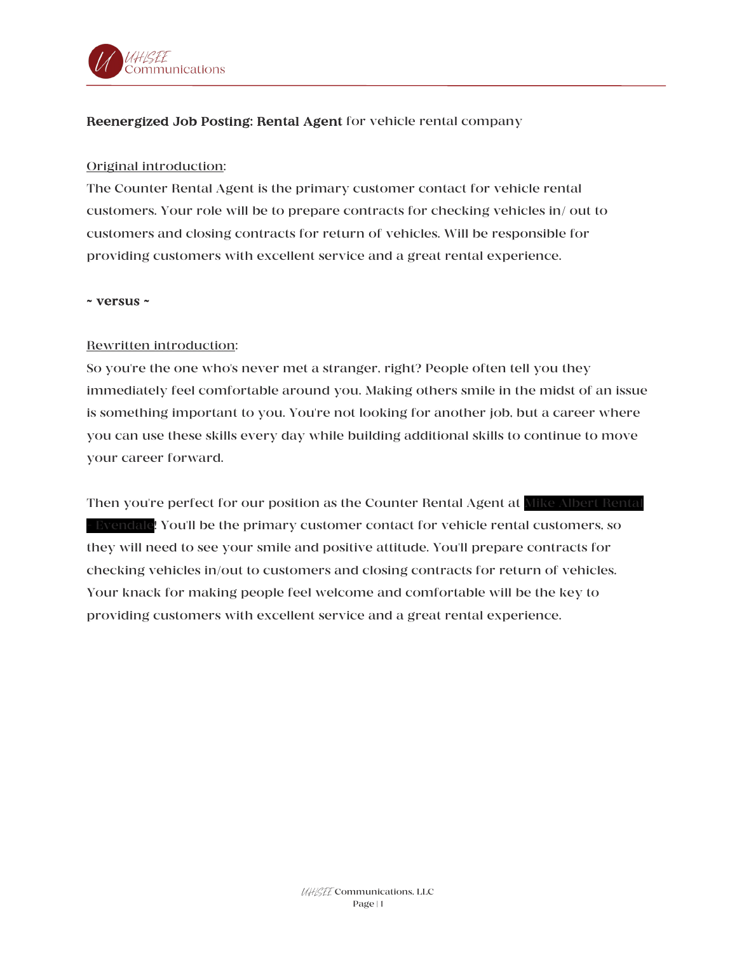

## Reenergized Job Posting: Rental Agent for vehicle rental company

## Original introduction:

The Counter Rental Agent is the primary customer contact for vehicle rental customers. Your role will be to prepare contracts for checking vehicles in/ out to customers and closing contracts for return of vehicles. Will be responsible for providing customers with excellent service and a great rental experience.

### ~ versus ~

## Rewritten introduction:

So you're the one who's never met a stranger, right? People often tell you they immediately feel comfortable around you. Making others smile in the midst of an issue is something important to you. You're not looking for another job, but a career where you can use these skills every day while building additional skills to continue to move your career forward.

Then you're perfect for our position as the Counter Rental Agent at Mike Albert Rental - Evendale! You'll be the primary customer contact for vehicle rental customers, so they will need to see your smile and positive attitude. You'll prepare contracts for checking vehicles in/out to customers and closing contracts for return of vehicles. Your knack for making people feel welcome and comfortable will be the key to providing customers with excellent service and a great rental experience.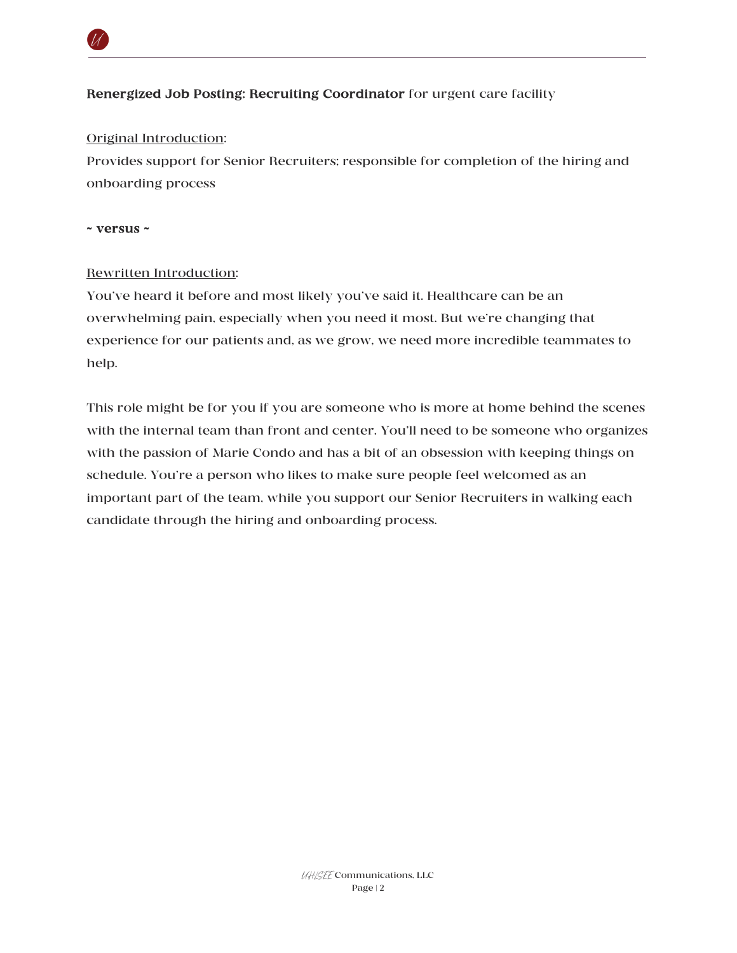

# Renergized Job Posting: Recruiting Coordinator for urgent care facility

### Original Introduction:

Provides support for Senior Recruiters; responsible for completion of the hiring and onboarding process

#### ~ versus ~

### Rewritten Introduction:

You've heard it before and most likely you've said it. Healthcare can be an overwhelming pain, especially when you need it most. But we're changing that experience for our patients and, as we grow, we need more incredible teammates to help.

This role might be for you if you are someone who is more at home behind the scenes with the internal team than front and center. You'll need to be someone who organizes with the passion of Marie Condo and has a bit of an obsession with keeping things on schedule. You're a person who likes to make sure people feel welcomed as an important part of the team, while you support our Senior Recruiters in walking each candidate through the hiring and onboarding process.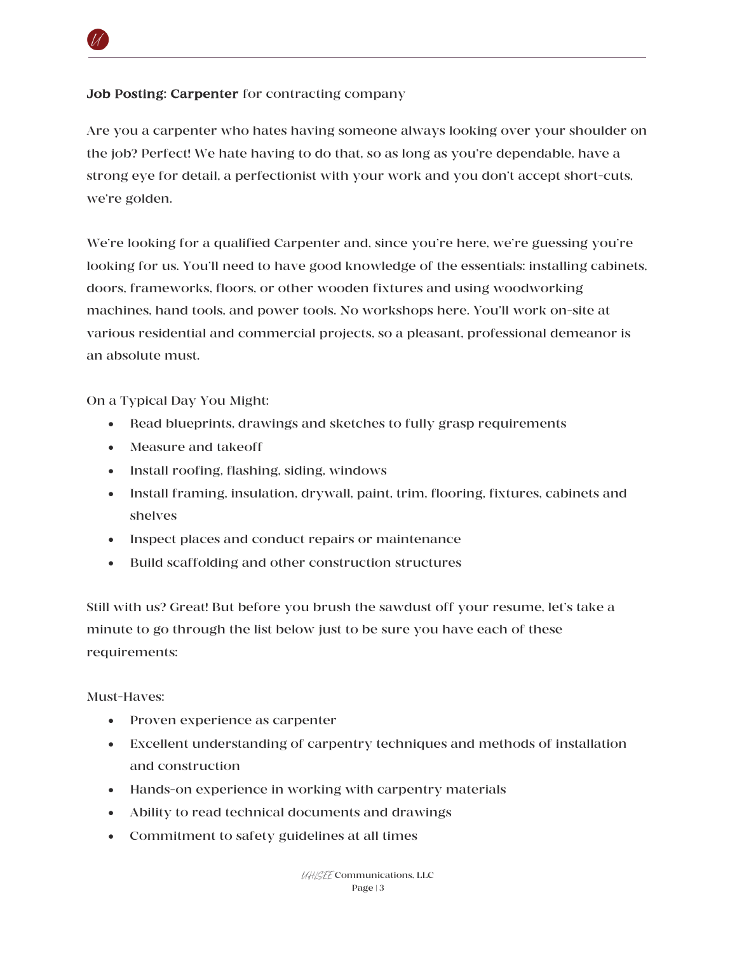# Job Posting: Carpenter for contracting company

Are you a carpenter who hates having someone always looking over your shoulder on the job? Perfect! We hate having to do that, so as long as you're dependable, have a strong eye for detail, a perfectionist with your work and you don't accept short-cuts, we're golden.

We're looking for a qualified Carpenter and, since you're here, we're guessing you're looking for us. You'll need to have good knowledge of the essentials: installing cabinets, doors, frameworks, floors, or other wooden fixtures and using woodworking machines, hand tools, and power tools. No workshops here. You'll work on-site at various residential and commercial projects, so a pleasant, professional demeanor is an absolute must.

On a Typical Day You Might:

- Read blueprints, drawings and sketches to fully grasp requirements
- Measure and takeoff
- Install roofing, flashing, siding, windows
- Install framing, insulation, drywall, paint, trim, flooring, fixtures, cabinets and shelves
- Inspect places and conduct repairs or maintenance
- Build scaffolding and other construction structures

Still with us? Great! But before you brush the sawdust off your resume, let's take a minute to go through the list below just to be sure you have each of these requirements:

Must-Haves:

- Proven experience as carpenter
- Excellent understanding of carpentry techniques and methods of installation and construction
- Hands-on experience in working with carpentry materials
- Ability to read technical documents and drawings
- Commitment to safety guidelines at all times